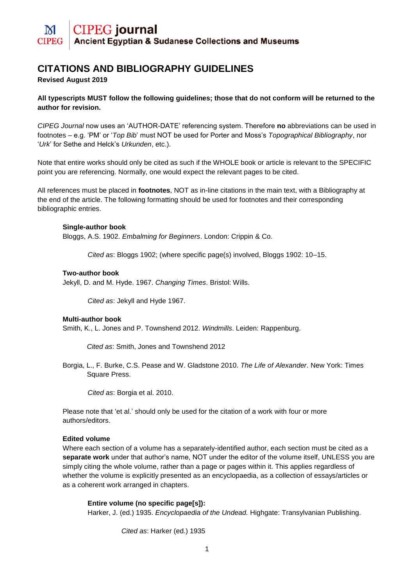# **CIPEG** journal **Ancient Egyptian & Sudanese Collections and Museums**

# **CITATIONS AND BIBLIOGRAPHY GUIDELINES**

# **Revised August 2019**

# **All typescripts MUST follow the following guidelines; those that do not conform will be returned to the author for revision.**

*CIPEG Journal* now uses an 'AUTHOR-DATE' referencing system. Therefore **no** abbreviations can be used in footnotes – e.g. 'PM' or '*Top Bib*' must NOT be used for Porter and Moss's *Topographical Bibliography*, nor '*Urk*' for Sethe and Helck's *Urkunden*, etc.).

Note that entire works should only be cited as such if the WHOLE book or article is relevant to the SPECIFIC point you are referencing. Normally, one would expect the relevant pages to be cited.

All references must be placed in **footnotes**, NOT as in-line citations in the main text, with a Bibliography at the end of the article. The following formatting should be used for footnotes and their corresponding bibliographic entries.

# **Single-author book**

Bloggs, A.S. 1902. *Embalming for Beginners*. London: Crippin & Co.

*Cited as*: Bloggs 1902; (where specific page(s) involved, Bloggs 1902: 10–15.

### **Two-author book**

Jekyll, D. and M. Hyde. 1967. *Changing Times*. Bristol: Wills.

*Cited as*: Jekyll and Hyde 1967.

# **Multi-author book**

Smith, K., L. Jones and P. Townshend 2012. *Windmills*. Leiden: Rappenburg.

*Cited as*: Smith, Jones and Townshend 2012

Borgia, L., F. Burke, C.S. Pease and W. Gladstone 2010. *The Life of Alexander*. New York: Times Square Press.

*Cited as*: Borgia et al. 2010.

Please note that 'et al.' should only be used for the citation of a work with four or more authors/editors.

# **Edited volume**

Where each section of a volume has a separately-identified author, each section must be cited as a **separate work** under that author's name, NOT under the editor of the volume itself, UNLESS you are simply citing the whole volume, rather than a page or pages within it. This applies regardless of whether the volume is explicitly presented as an encyclopaedia, as a collection of essays/articles or as a coherent work arranged in chapters.

#### **Entire volume (no specific page[s]):**

Harker, J. (ed.) 1935. *Encyclopaedia of the Undead.* Highgate: Transylvanian Publishing.

*Cited as*: Harker (ed.) 1935